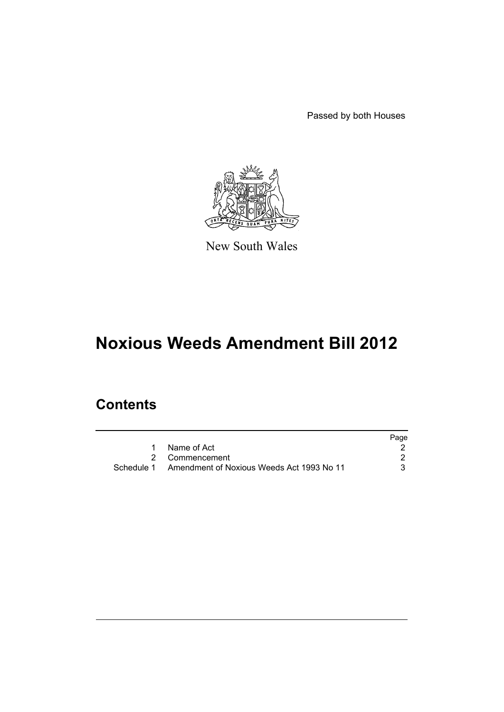Passed by both Houses



New South Wales

# **Noxious Weeds Amendment Bill 2012**

## **Contents**

|            |                                           | Page |
|------------|-------------------------------------------|------|
|            | Name of Act                               |      |
|            | 2 Commencement                            |      |
| Schedule 1 | Amendment of Noxious Weeds Act 1993 No 11 |      |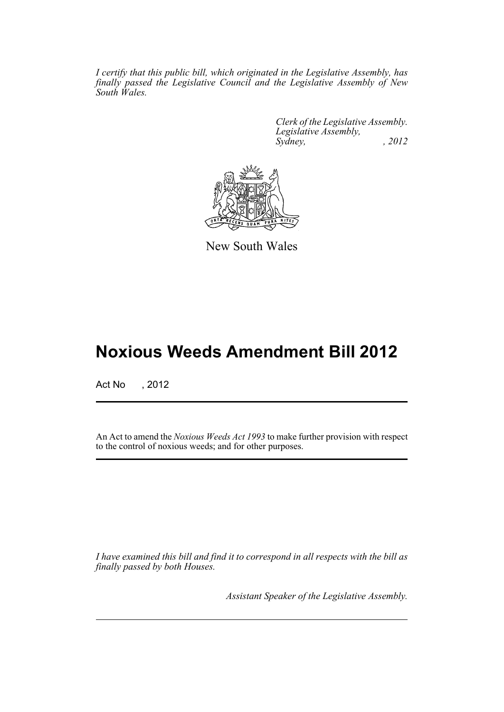*I certify that this public bill, which originated in the Legislative Assembly, has finally passed the Legislative Council and the Legislative Assembly of New South Wales.*

> *Clerk of the Legislative Assembly. Legislative Assembly, Sydney, , 2012*



New South Wales

## **Noxious Weeds Amendment Bill 2012**

Act No , 2012

An Act to amend the *Noxious Weeds Act 1993* to make further provision with respect to the control of noxious weeds; and for other purposes.

*I have examined this bill and find it to correspond in all respects with the bill as finally passed by both Houses.*

*Assistant Speaker of the Legislative Assembly.*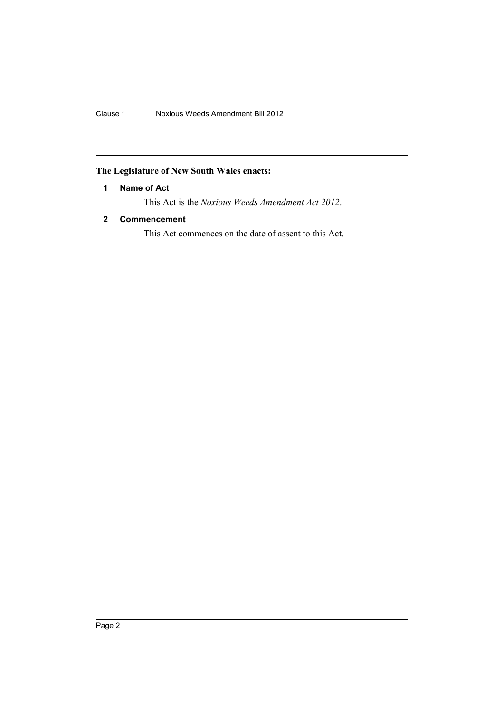## <span id="page-3-0"></span>**The Legislature of New South Wales enacts:**

## **1 Name of Act**

This Act is the *Noxious Weeds Amendment Act 2012*.

## <span id="page-3-1"></span>**2 Commencement**

This Act commences on the date of assent to this Act.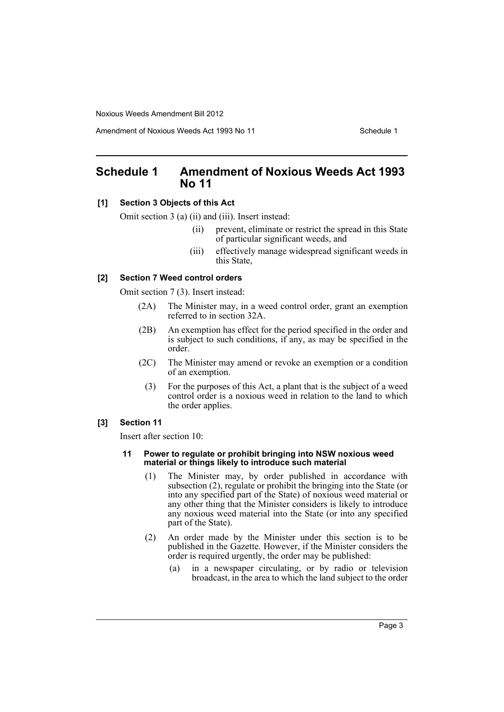Amendment of Noxious Weeds Act 1993 No 11 Schedule 1

## <span id="page-4-0"></span>**Schedule 1 Amendment of Noxious Weeds Act 1993 No 11**

## **[1] Section 3 Objects of this Act**

Omit section 3 (a) (ii) and (iii). Insert instead:

- (ii) prevent, eliminate or restrict the spread in this State of particular significant weeds, and
- (iii) effectively manage widespread significant weeds in this State,

#### **[2] Section 7 Weed control orders**

Omit section 7 (3). Insert instead:

- (2A) The Minister may, in a weed control order, grant an exemption referred to in section 32A.
- (2B) An exemption has effect for the period specified in the order and is subject to such conditions, if any, as may be specified in the order.
- (2C) The Minister may amend or revoke an exemption or a condition of an exemption.
	- (3) For the purposes of this Act, a plant that is the subject of a weed control order is a noxious weed in relation to the land to which the order applies.

## **[3] Section 11**

Insert after section 10:

#### **11 Power to regulate or prohibit bringing into NSW noxious weed material or things likely to introduce such material**

- (1) The Minister may, by order published in accordance with subsection (2), regulate or prohibit the bringing into the State (or into any specified part of the State) of noxious weed material or any other thing that the Minister considers is likely to introduce any noxious weed material into the State (or into any specified part of the State).
- (2) An order made by the Minister under this section is to be published in the Gazette. However, if the Minister considers the order is required urgently, the order may be published:
	- (a) in a newspaper circulating, or by radio or television broadcast, in the area to which the land subject to the order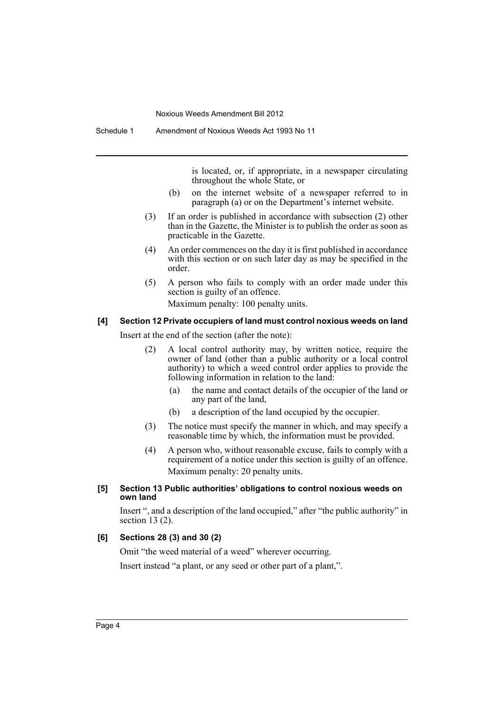is located, or, if appropriate, in a newspaper circulating throughout the whole State, or

- (b) on the internet website of a newspaper referred to in paragraph (a) or on the Department's internet website.
- (3) If an order is published in accordance with subsection (2) other than in the Gazette, the Minister is to publish the order as soon as practicable in the Gazette.
- (4) An order commences on the day it is first published in accordance with this section or on such later day as may be specified in the order.
- (5) A person who fails to comply with an order made under this section is guilty of an offence.

Maximum penalty: 100 penalty units.

#### **[4] Section 12 Private occupiers of land must control noxious weeds on land**

Insert at the end of the section (after the note):

- (2) A local control authority may, by written notice, require the owner of land (other than a public authority or a local control authority) to which a weed control order applies to provide the following information in relation to the land:
	- (a) the name and contact details of the occupier of the land or any part of the land,
	- (b) a description of the land occupied by the occupier.
- (3) The notice must specify the manner in which, and may specify a reasonable time by which, the information must be provided.
- (4) A person who, without reasonable excuse, fails to comply with a requirement of a notice under this section is guilty of an offence. Maximum penalty: 20 penalty units.

#### **[5] Section 13 Public authorities' obligations to control noxious weeds on own land**

Insert ", and a description of the land occupied," after "the public authority" in section 13 (2).

## **[6] Sections 28 (3) and 30 (2)**

Omit "the weed material of a weed" wherever occurring. Insert instead "a plant, or any seed or other part of a plant,".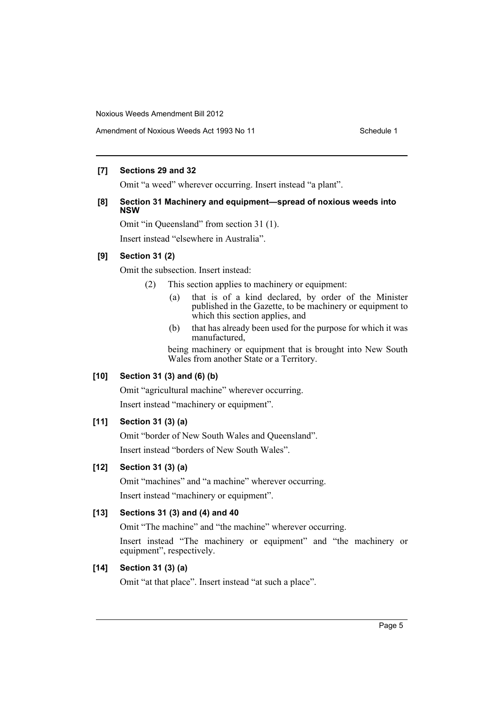Amendment of Noxious Weeds Act 1993 No 11 Schedule 1

## **[7] Sections 29 and 32**

Omit "a weed" wherever occurring. Insert instead "a plant".

## **[8] Section 31 Machinery and equipment—spread of noxious weeds into NSW**

Omit "in Queensland" from section 31 (1). Insert instead "elsewhere in Australia".

## **[9] Section 31 (2)**

Omit the subsection. Insert instead:

- (2) This section applies to machinery or equipment:
	- (a) that is of a kind declared, by order of the Minister published in the Gazette, to be machinery or equipment to which this section applies, and
	- (b) that has already been used for the purpose for which it was manufactured,

being machinery or equipment that is brought into New South Wales from another State or a Territory.

## **[10] Section 31 (3) and (6) (b)**

Omit "agricultural machine" wherever occurring. Insert instead "machinery or equipment".

## **[11] Section 31 (3) (a)**

Omit "border of New South Wales and Queensland". Insert instead "borders of New South Wales".

## **[12] Section 31 (3) (a)**

Omit "machines" and "a machine" wherever occurring. Insert instead "machinery or equipment".

## **[13] Sections 31 (3) and (4) and 40**

Omit "The machine" and "the machine" wherever occurring.

Insert instead "The machinery or equipment" and "the machinery or equipment", respectively.

## **[14] Section 31 (3) (a)**

Omit "at that place". Insert instead "at such a place".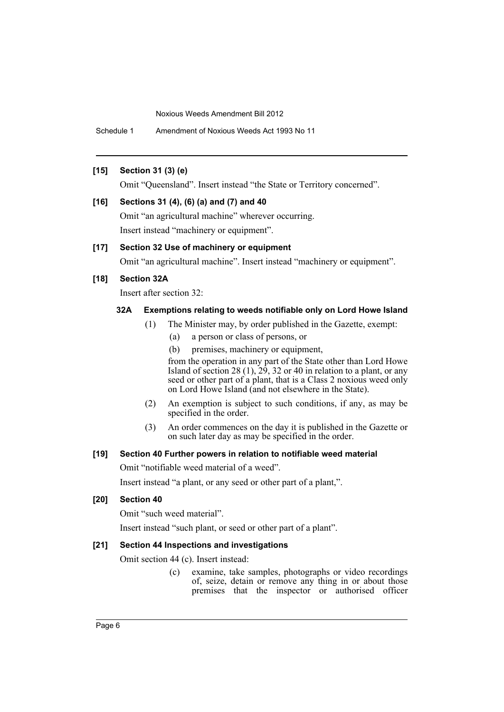Schedule 1 Amendment of Noxious Weeds Act 1993 No 11

## **[15] Section 31 (3) (e)**

Omit "Queensland". Insert instead "the State or Territory concerned".

#### **[16] Sections 31 (4), (6) (a) and (7) and 40**

Omit "an agricultural machine" wherever occurring. Insert instead "machinery or equipment".

## **[17] Section 32 Use of machinery or equipment**

Omit "an agricultural machine". Insert instead "machinery or equipment".

## **[18] Section 32A**

Insert after section 32:

## **32A Exemptions relating to weeds notifiable only on Lord Howe Island**

- (1) The Minister may, by order published in the Gazette, exempt:
	- (a) a person or class of persons, or
	- (b) premises, machinery or equipment,

from the operation in any part of the State other than Lord Howe Island of section 28  $(1)$ , 29, 32 or 40 in relation to a plant, or any seed or other part of a plant, that is a Class 2 noxious weed only on Lord Howe Island (and not elsewhere in the State).

- (2) An exemption is subject to such conditions, if any, as may be specified in the order.
- (3) An order commences on the day it is published in the Gazette or on such later day as may be specified in the order.

### **[19] Section 40 Further powers in relation to notifiable weed material**

Omit "notifiable weed material of a weed".

Insert instead "a plant, or any seed or other part of a plant,".

## **[20] Section 40**

Omit "such weed material".

Insert instead "such plant, or seed or other part of a plant".

## **[21] Section 44 Inspections and investigations**

Omit section 44 (c). Insert instead:

(c) examine, take samples, photographs or video recordings of, seize, detain or remove any thing in or about those premises that the inspector or authorised officer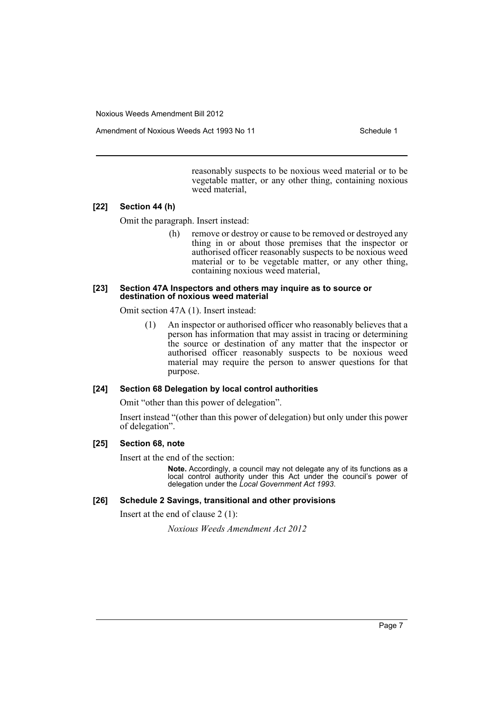Amendment of Noxious Weeds Act 1993 No 11 Schedule 1

reasonably suspects to be noxious weed material or to be vegetable matter, or any other thing, containing noxious weed material,

## **[22] Section 44 (h)**

Omit the paragraph. Insert instead:

(h) remove or destroy or cause to be removed or destroyed any thing in or about those premises that the inspector or authorised officer reasonably suspects to be noxious weed material or to be vegetable matter, or any other thing, containing noxious weed material,

#### **[23] Section 47A Inspectors and others may inquire as to source or destination of noxious weed material**

Omit section 47A (1). Insert instead:

(1) An inspector or authorised officer who reasonably believes that a person has information that may assist in tracing or determining the source or destination of any matter that the inspector or authorised officer reasonably suspects to be noxious weed material may require the person to answer questions for that purpose.

#### **[24] Section 68 Delegation by local control authorities**

Omit "other than this power of delegation".

Insert instead "(other than this power of delegation) but only under this power of delegation".

## **[25] Section 68, note**

Insert at the end of the section:

**Note.** Accordingly, a council may not delegate any of its functions as a local control authority under this Act under the council's power of delegation under the *Local Government Act 1993*.

#### **[26] Schedule 2 Savings, transitional and other provisions**

Insert at the end of clause 2 (1):

*Noxious Weeds Amendment Act 2012*